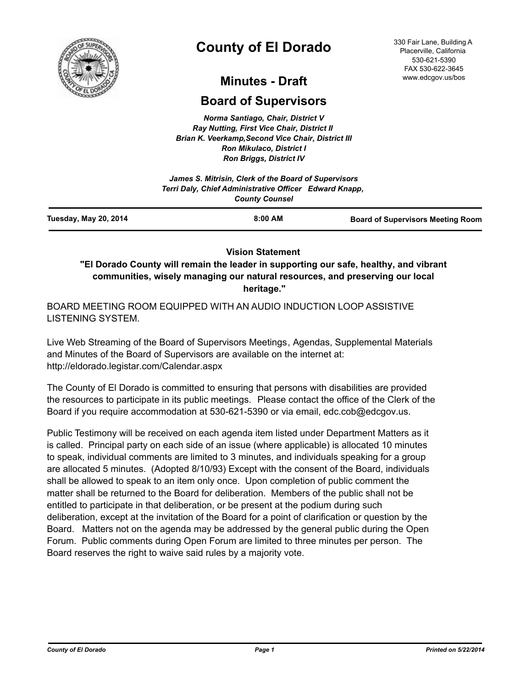

# **County of El Dorado**

330 Fair Lane, Building A Placerville, California 530-621-5390 FAX 530-622-3645 www.edcgov.us/bos

# **Minutes - Draft**

## **Board of Supervisors**

*Norma Santiago, Chair, District V Ray Nutting, First Vice Chair, District II Brian K. Veerkamp,Second Vice Chair, District III Ron Mikulaco, District I Ron Briggs, District IV*

|                       | James S. Mitrisin, Clerk of the Board of Supervisors<br>Terri Daly, Chief Administrative Officer Edward Knapp,<br><b>County Counsel</b> |                                          |  |
|-----------------------|-----------------------------------------------------------------------------------------------------------------------------------------|------------------------------------------|--|
| Tuesday, May 20, 2014 | 8:00 AM                                                                                                                                 | <b>Board of Supervisors Meeting Room</b> |  |

#### **Vision Statement**

**"El Dorado County will remain the leader in supporting our safe, healthy, and vibrant communities, wisely managing our natural resources, and preserving our local heritage."**

BOARD MEETING ROOM EQUIPPED WITH AN AUDIO INDUCTION LOOP ASSISTIVE LISTENING SYSTEM.

Live Web Streaming of the Board of Supervisors Meetings, Agendas, Supplemental Materials and Minutes of the Board of Supervisors are available on the internet at: http://eldorado.legistar.com/Calendar.aspx

The County of El Dorado is committed to ensuring that persons with disabilities are provided the resources to participate in its public meetings. Please contact the office of the Clerk of the Board if you require accommodation at 530-621-5390 or via email, edc.cob@edcgov.us.

Public Testimony will be received on each agenda item listed under Department Matters as it is called. Principal party on each side of an issue (where applicable) is allocated 10 minutes to speak, individual comments are limited to 3 minutes, and individuals speaking for a group are allocated 5 minutes. (Adopted 8/10/93) Except with the consent of the Board, individuals shall be allowed to speak to an item only once. Upon completion of public comment the matter shall be returned to the Board for deliberation. Members of the public shall not be entitled to participate in that deliberation, or be present at the podium during such deliberation, except at the invitation of the Board for a point of clarification or question by the Board. Matters not on the agenda may be addressed by the general public during the Open Forum. Public comments during Open Forum are limited to three minutes per person. The Board reserves the right to waive said rules by a majority vote.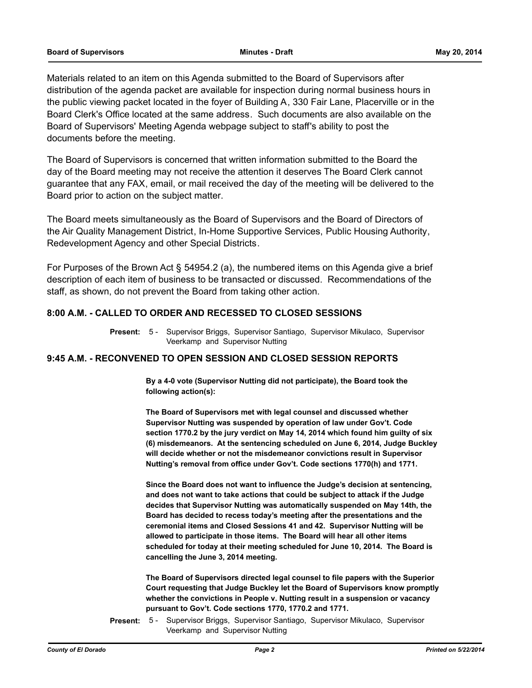Materials related to an item on this Agenda submitted to the Board of Supervisors after distribution of the agenda packet are available for inspection during normal business hours in the public viewing packet located in the foyer of Building A, 330 Fair Lane, Placerville or in the Board Clerk's Office located at the same address. Such documents are also available on the Board of Supervisors' Meeting Agenda webpage subject to staff's ability to post the documents before the meeting.

The Board of Supervisors is concerned that written information submitted to the Board the day of the Board meeting may not receive the attention it deserves The Board Clerk cannot guarantee that any FAX, email, or mail received the day of the meeting will be delivered to the Board prior to action on the subject matter.

The Board meets simultaneously as the Board of Supervisors and the Board of Directors of the Air Quality Management District, In-Home Supportive Services, Public Housing Authority, Redevelopment Agency and other Special Districts.

For Purposes of the Brown Act § 54954.2 (a), the numbered items on this Agenda give a brief description of each item of business to be transacted or discussed. Recommendations of the staff, as shown, do not prevent the Board from taking other action.

#### **8:00 A.M. - CALLED TO ORDER AND RECESSED TO CLOSED SESSIONS**

Present: 5 - Supervisor Briggs, Supervisor Santiago, Supervisor Mikulaco, Supervisor Veerkamp and Supervisor Nutting

#### **9:45 A.M. - RECONVENED TO OPEN SESSION AND CLOSED SESSION REPORTS**

**By a 4-0 vote (Supervisor Nutting did not participate), the Board took the following action(s):**

**The Board of Supervisors met with legal counsel and discussed whether Supervisor Nutting was suspended by operation of law under Gov't. Code section 1770.2 by the jury verdict on May 14, 2014 which found him guilty of six (6) misdemeanors. At the sentencing scheduled on June 6, 2014, Judge Buckley will decide whether or not the misdemeanor convictions result in Supervisor Nutting's removal from office under Gov't. Code sections 1770(h) and 1771.**

**Since the Board does not want to influence the Judge's decision at sentencing, and does not want to take actions that could be subject to attack if the Judge decides that Supervisor Nutting was automatically suspended on May 14th, the Board has decided to recess today's meeting after the presentations and the ceremonial items and Closed Sessions 41 and 42. Supervisor Nutting will be allowed to participate in those items. The Board will hear all other items scheduled for today at their meeting scheduled for June 10, 2014. The Board is cancelling the June 3, 2014 meeting.**

**The Board of Supervisors directed legal counsel to file papers with the Superior Court requesting that Judge Buckley let the Board of Supervisors know promptly whether the convictions in People v. Nutting result in a suspension or vacancy pursuant to Gov't. Code sections 1770, 1770.2 and 1771.**

Supervisor Briggs, Supervisor Santiago, Supervisor Mikulaco, Supervisor Veerkamp and Supervisor Nutting **Present:** 5 -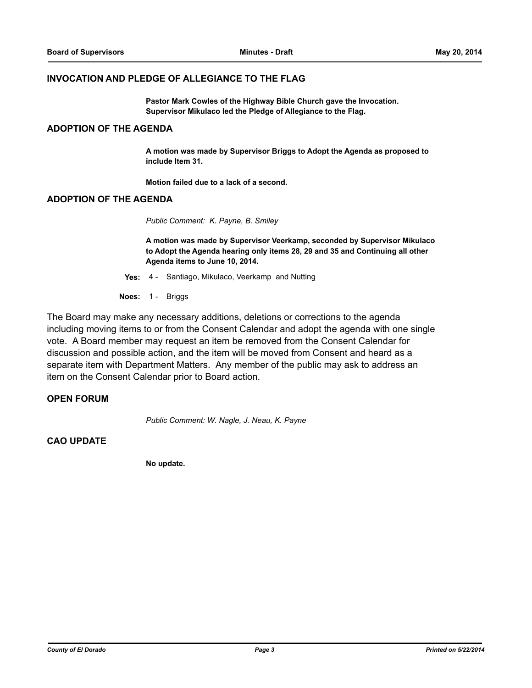#### **INVOCATION AND PLEDGE OF ALLEGIANCE TO THE FLAG**

**Pastor Mark Cowles of the Highway Bible Church gave the Invocation. Supervisor Mikulaco led the Pledge of Allegiance to the Flag.**

#### **ADOPTION OF THE AGENDA**

**A motion was made by Supervisor Briggs to Adopt the Agenda as proposed to include Item 31.** 

**Motion failed due to a lack of a second.**

#### **ADOPTION OF THE AGENDA**

*Public Comment: K. Payne, B. Smiley*

**A motion was made by Supervisor Veerkamp, seconded by Supervisor Mikulaco to Adopt the Agenda hearing only items 28, 29 and 35 and Continuing all other Agenda items to June 10, 2014.**

**Yes:** 4 - Santiago, Mikulaco, Veerkamp and Nutting

**Noes:** 1 - Briggs

The Board may make any necessary additions, deletions or corrections to the agenda including moving items to or from the Consent Calendar and adopt the agenda with one single vote. A Board member may request an item be removed from the Consent Calendar for discussion and possible action, and the item will be moved from Consent and heard as a separate item with Department Matters. Any member of the public may ask to address an item on the Consent Calendar prior to Board action.

#### **OPEN FORUM**

*Public Comment: W. Nagle, J. Neau, K. Payne*

#### **CAO UPDATE**

**No update.**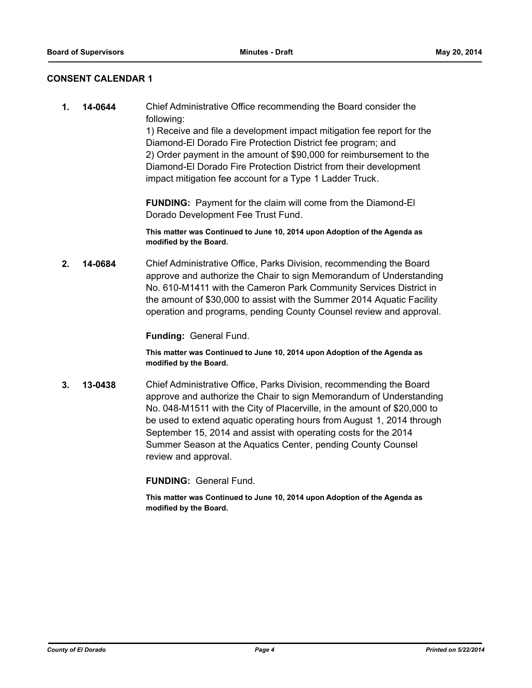#### **CONSENT CALENDAR 1**

**1. 14-0644** Chief Administrative Office recommending the Board consider the following:

> 1) Receive and file a development impact mitigation fee report for the Diamond-El Dorado Fire Protection District fee program; and 2) Order payment in the amount of \$90,000 for reimbursement to the Diamond-El Dorado Fire Protection District from their development impact mitigation fee account for a Type 1 Ladder Truck.

**FUNDING:** Payment for the claim will come from the Diamond-El Dorado Development Fee Trust Fund.

#### **This matter was Continued to June 10, 2014 upon Adoption of the Agenda as modified by the Board.**

**2. 14-0684** Chief Administrative Office, Parks Division, recommending the Board approve and authorize the Chair to sign Memorandum of Understanding No. 610-M1411 with the Cameron Park Community Services District in the amount of \$30,000 to assist with the Summer 2014 Aquatic Facility operation and programs, pending County Counsel review and approval.

**Funding:** General Fund.

**This matter was Continued to June 10, 2014 upon Adoption of the Agenda as modified by the Board.**

**3. 13-0438** Chief Administrative Office, Parks Division, recommending the Board approve and authorize the Chair to sign Memorandum of Understanding No. 048-M1511 with the City of Placerville, in the amount of \$20,000 to be used to extend aquatic operating hours from August 1, 2014 through September 15, 2014 and assist with operating costs for the 2014 Summer Season at the Aquatics Center, pending County Counsel review and approval.

**FUNDING:** General Fund.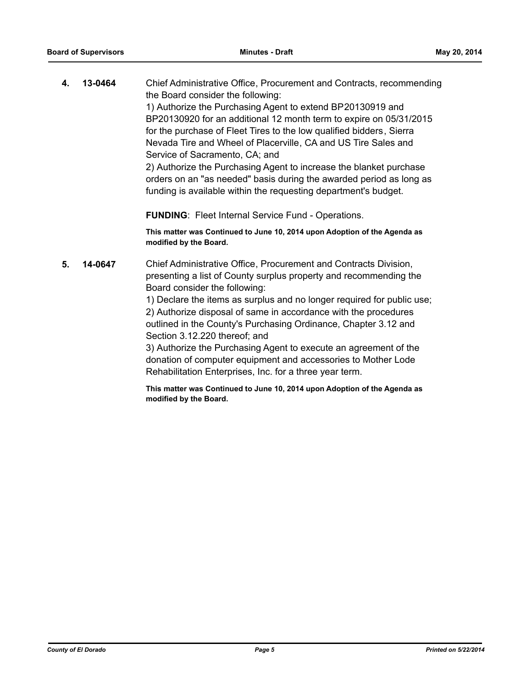**4. 13-0464** Chief Administrative Office, Procurement and Contracts, recommending the Board consider the following: 1) Authorize the Purchasing Agent to extend BP20130919 and BP20130920 for an additional 12 month term to expire on 05/31/2015 for the purchase of Fleet Tires to the low qualified bidders, Sierra Nevada Tire and Wheel of Placerville, CA and US Tire Sales and Service of Sacramento, CA; and 2) Authorize the Purchasing Agent to increase the blanket purchase orders on an "as needed" basis during the awarded period as long as funding is available within the requesting department's budget.

**FUNDING**: Fleet Internal Service Fund - Operations.

**This matter was Continued to June 10, 2014 upon Adoption of the Agenda as modified by the Board.**

**5. 14-0647** Chief Administrative Office, Procurement and Contracts Division, presenting a list of County surplus property and recommending the Board consider the following:

> 1) Declare the items as surplus and no longer required for public use; 2) Authorize disposal of same in accordance with the procedures outlined in the County's Purchasing Ordinance, Chapter 3.12 and Section 3.12.220 thereof; and

3) Authorize the Purchasing Agent to execute an agreement of the donation of computer equipment and accessories to Mother Lode Rehabilitation Enterprises, Inc. for a three year term.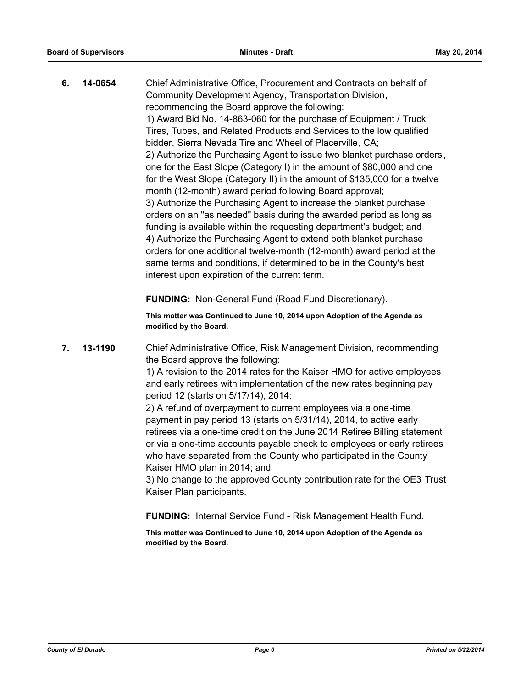**6. 14-0654** Chief Administrative Office, Procurement and Contracts on behalf of Community Development Agency, Transportation Division, recommending the Board approve the following: 1) Award Bid No. 14-863-060 for the purchase of Equipment / Truck Tires, Tubes, and Related Products and Services to the low qualified bidder, Sierra Nevada Tire and Wheel of Placerville, CA; 2) Authorize the Purchasing Agent to issue two blanket purchase orders, one for the East Slope (Category I) in the amount of \$80,000 and one for the West Slope (Category II) in the amount of \$135,000 for a twelve month (12-month) award period following Board approval; 3) Authorize the Purchasing Agent to increase the blanket purchase orders on an "as needed" basis during the awarded period as long as funding is available within the requesting department's budget; and 4) Authorize the Purchasing Agent to extend both blanket purchase orders for one additional twelve-month (12-month) award period at the same terms and conditions, if determined to be in the County's best interest upon expiration of the current term.

**FUNDING:** Non-General Fund (Road Fund Discretionary).

**This matter was Continued to June 10, 2014 upon Adoption of the Agenda as modified by the Board.**

**7. 13-1190** Chief Administrative Office, Risk Management Division, recommending the Board approve the following:

> 1) A revision to the 2014 rates for the Kaiser HMO for active employees and early retirees with implementation of the new rates beginning pay period 12 (starts on 5/17/14), 2014;

2) A refund of overpayment to current employees via a one-time payment in pay period 13 (starts on 5/31/14), 2014, to active early retirees via a one-time credit on the June 2014 Retiree Billing statement or via a one-time accounts payable check to employees or early retirees who have separated from the County who participated in the County Kaiser HMO plan in 2014; and

3) No change to the approved County contribution rate for the OE3 Trust Kaiser Plan participants.

**FUNDING:** Internal Service Fund - Risk Management Health Fund.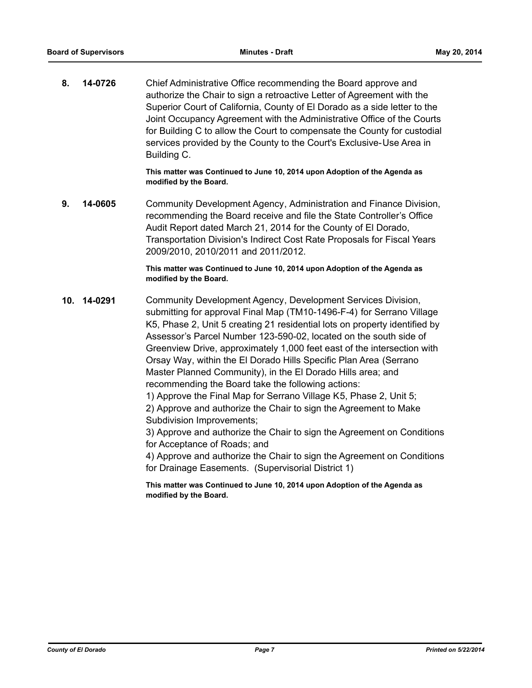**8. 14-0726** Chief Administrative Office recommending the Board approve and authorize the Chair to sign a retroactive Letter of Agreement with the Superior Court of California, County of El Dorado as a side letter to the Joint Occupancy Agreement with the Administrative Office of the Courts for Building C to allow the Court to compensate the County for custodial services provided by the County to the Court's Exclusive-Use Area in Building C.

> **This matter was Continued to June 10, 2014 upon Adoption of the Agenda as modified by the Board.**

**9. 14-0605** Community Development Agency, Administration and Finance Division, recommending the Board receive and file the State Controller's Office Audit Report dated March 21, 2014 for the County of El Dorado, Transportation Division's Indirect Cost Rate Proposals for Fiscal Years 2009/2010, 2010/2011 and 2011/2012.

#### **This matter was Continued to June 10, 2014 upon Adoption of the Agenda as modified by the Board.**

**10. 14-0291** Community Development Agency, Development Services Division, submitting for approval Final Map (TM10-1496-F-4) for Serrano Village K5, Phase 2, Unit 5 creating 21 residential lots on property identified by Assessor's Parcel Number 123-590-02, located on the south side of Greenview Drive, approximately 1,000 feet east of the intersection with Orsay Way, within the El Dorado Hills Specific Plan Area (Serrano Master Planned Community), in the El Dorado Hills area; and recommending the Board take the following actions: 1) Approve the Final Map for Serrano Village K5, Phase 2, Unit 5; 2) Approve and authorize the Chair to sign the Agreement to Make Subdivision Improvements; 3) Approve and authorize the Chair to sign the Agreement on Conditions for Acceptance of Roads; and

4) Approve and authorize the Chair to sign the Agreement on Conditions for Drainage Easements. (Supervisorial District 1)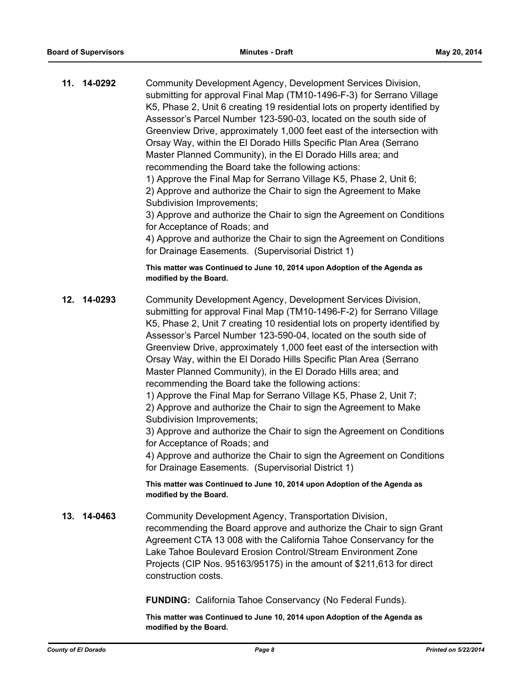| 11. 14-0292 | Community Development Agency, Development Services Division,<br>submitting for approval Final Map (TM10-1496-F-3) for Serrano Village<br>K5, Phase 2, Unit 6 creating 19 residential lots on property identified by<br>Assessor's Parcel Number 123-590-03, located on the south side of<br>Greenview Drive, approximately 1,000 feet east of the intersection with<br>Orsay Way, within the El Dorado Hills Specific Plan Area (Serrano<br>Master Planned Community), in the El Dorado Hills area; and<br>recommending the Board take the following actions:<br>1) Approve the Final Map for Serrano Village K5, Phase 2, Unit 6;<br>2) Approve and authorize the Chair to sign the Agreement to Make<br>Subdivision Improvements;<br>3) Approve and authorize the Chair to sign the Agreement on Conditions<br>for Acceptance of Roads; and<br>4) Approve and authorize the Chair to sign the Agreement on Conditions<br>for Drainage Easements. (Supervisorial District 1)<br>This matter was Continued to June 10, 2014 upon Adoption of the Agenda as<br>modified by the Board. |
|-------------|--------------------------------------------------------------------------------------------------------------------------------------------------------------------------------------------------------------------------------------------------------------------------------------------------------------------------------------------------------------------------------------------------------------------------------------------------------------------------------------------------------------------------------------------------------------------------------------------------------------------------------------------------------------------------------------------------------------------------------------------------------------------------------------------------------------------------------------------------------------------------------------------------------------------------------------------------------------------------------------------------------------------------------------------------------------------------------------|
|             |                                                                                                                                                                                                                                                                                                                                                                                                                                                                                                                                                                                                                                                                                                                                                                                                                                                                                                                                                                                                                                                                                      |
| 12. 14-0293 | Community Development Agency, Development Services Division,<br>submitting for approval Final Map (TM10-1496-F-2) for Serrano Village<br>K5, Phase 2, Unit 7 creating 10 residential lots on property identified by<br>Assessor's Parcel Number 123-590-04, located on the south side of<br>Greenview Drive, approximately 1,000 feet east of the intersection with<br>Orsay Way, within the El Dorado Hills Specific Plan Area (Serrano<br>Master Planned Community), in the El Dorado Hills area; and<br>recommending the Board take the following actions:<br>1) Approve the Final Map for Serrano Village K5, Phase 2, Unit 7;<br>2) Approve and authorize the Chair to sign the Agreement to Make<br>Subdivision Improvements;<br>3) Approve and authorize the Chair to sign the Agreement on Conditions<br>for Acceptance of Roads; and<br>4) Approve and authorize the Chair to sign the Agreement on Conditions<br>for Drainage Easements. (Supervisorial District 1)                                                                                                        |
|             | This matter was Continued to June 10, 2014 upon Adoption of the Agenda as<br>modified by the Board.                                                                                                                                                                                                                                                                                                                                                                                                                                                                                                                                                                                                                                                                                                                                                                                                                                                                                                                                                                                  |
| 13. 14-0463 | Community Development Agency, Transportation Division,<br>recommending the Board approve and authorize the Chair to sign Grant<br>Agreement CTA 13 008 with the California Tahoe Conservancy for the<br>Lake Tahoe Boulevard Erosion Control/Stream Environment Zone<br>Projects (CIP Nos. 95163/95175) in the amount of \$211,613 for direct<br>construction costs.                                                                                                                                                                                                                                                                                                                                                                                                                                                                                                                                                                                                                                                                                                                 |
|             | <b>FUNDING:</b> California Tahoe Conservancy (No Federal Funds).                                                                                                                                                                                                                                                                                                                                                                                                                                                                                                                                                                                                                                                                                                                                                                                                                                                                                                                                                                                                                     |
|             | This matter was Continued to June 10, 2014 upon Adoption of the Agenda as                                                                                                                                                                                                                                                                                                                                                                                                                                                                                                                                                                                                                                                                                                                                                                                                                                                                                                                                                                                                            |

*County of El Dorado Page 8 Printed on 5/22/2014*

**modified by the Board.**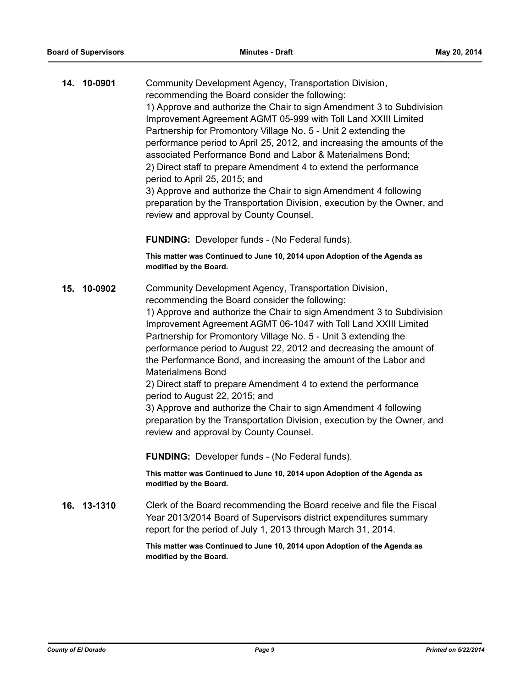|     | 14. 10-0901 | Community Development Agency, Transportation Division,<br>recommending the Board consider the following:<br>1) Approve and authorize the Chair to sign Amendment 3 to Subdivision<br>Improvement Agreement AGMT 05-999 with Toll Land XXIII Limited<br>Partnership for Promontory Village No. 5 - Unit 2 extending the<br>performance period to April 25, 2012, and increasing the amounts of the<br>associated Performance Bond and Labor & Materialmens Bond;<br>2) Direct staff to prepare Amendment 4 to extend the performance<br>period to April 25, 2015; and<br>3) Approve and authorize the Chair to sign Amendment 4 following<br>preparation by the Transportation Division, execution by the Owner, and<br>review and approval by County Counsel.                                |
|-----|-------------|----------------------------------------------------------------------------------------------------------------------------------------------------------------------------------------------------------------------------------------------------------------------------------------------------------------------------------------------------------------------------------------------------------------------------------------------------------------------------------------------------------------------------------------------------------------------------------------------------------------------------------------------------------------------------------------------------------------------------------------------------------------------------------------------|
|     |             | <b>FUNDING:</b> Developer funds - (No Federal funds).                                                                                                                                                                                                                                                                                                                                                                                                                                                                                                                                                                                                                                                                                                                                        |
|     |             | This matter was Continued to June 10, 2014 upon Adoption of the Agenda as<br>modified by the Board.                                                                                                                                                                                                                                                                                                                                                                                                                                                                                                                                                                                                                                                                                          |
| 15. | 10-0902     | Community Development Agency, Transportation Division,<br>recommending the Board consider the following:<br>1) Approve and authorize the Chair to sign Amendment 3 to Subdivision<br>Improvement Agreement AGMT 06-1047 with Toll Land XXIII Limited<br>Partnership for Promontory Village No. 5 - Unit 3 extending the<br>performance period to August 22, 2012 and decreasing the amount of<br>the Performance Bond, and increasing the amount of the Labor and<br><b>Materialmens Bond</b><br>2) Direct staff to prepare Amendment 4 to extend the performance<br>period to August 22, 2015; and<br>3) Approve and authorize the Chair to sign Amendment 4 following<br>preparation by the Transportation Division, execution by the Owner, and<br>review and approval by County Counsel. |
|     |             | <b>FUNDING:</b> Developer funds - (No Federal funds).                                                                                                                                                                                                                                                                                                                                                                                                                                                                                                                                                                                                                                                                                                                                        |
|     |             | This matter was Continued to June 10, 2014 upon Adoption of the Agenda as<br>modified by the Board.                                                                                                                                                                                                                                                                                                                                                                                                                                                                                                                                                                                                                                                                                          |
|     | 16. 13-1310 | Clerk of the Board recommending the Board receive and file the Fiscal<br>Year 2013/2014 Board of Supervisors district expenditures summary<br>report for the period of July 1, 2013 through March 31, 2014.                                                                                                                                                                                                                                                                                                                                                                                                                                                                                                                                                                                  |
|     |             | This matter was Continued to June 10, 2014 upon Adoption of the Agenda as<br>modified by the Board.                                                                                                                                                                                                                                                                                                                                                                                                                                                                                                                                                                                                                                                                                          |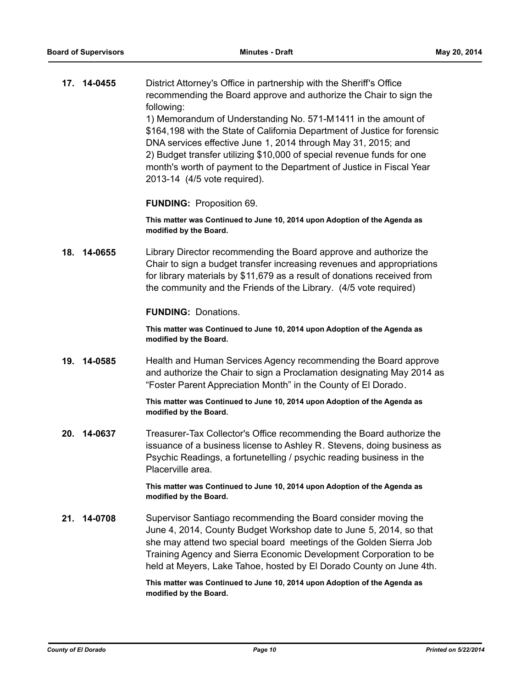**17. 14-0455** District Attorney's Office in partnership with the Sheriff's Office recommending the Board approve and authorize the Chair to sign the following: 1) Memorandum of Understanding No. 571-M1411 in the amount of \$164,198 with the State of California Department of Justice for forensic DNA services effective June 1, 2014 through May 31, 2015; and

2) Budget transfer utilizing \$10,000 of special revenue funds for one month's worth of payment to the Department of Justice in Fiscal Year 2013-14 (4/5 vote required).

#### **FUNDING:** Proposition 69.

**This matter was Continued to June 10, 2014 upon Adoption of the Agenda as modified by the Board.**

**18. 14-0655** Library Director recommending the Board approve and authorize the Chair to sign a budget transfer increasing revenues and appropriations for library materials by \$11,679 as a result of donations received from the community and the Friends of the Library. (4/5 vote required)

#### **FUNDING:** Donations.

**This matter was Continued to June 10, 2014 upon Adoption of the Agenda as modified by the Board.**

**19. 14-0585** Health and Human Services Agency recommending the Board approve and authorize the Chair to sign a Proclamation designating May 2014 as "Foster Parent Appreciation Month" in the County of El Dorado.

> **This matter was Continued to June 10, 2014 upon Adoption of the Agenda as modified by the Board.**

**20. 14-0637** Treasurer-Tax Collector's Office recommending the Board authorize the issuance of a business license to Ashley R. Stevens, doing business as Psychic Readings, a fortunetelling / psychic reading business in the Placerville area.

> **This matter was Continued to June 10, 2014 upon Adoption of the Agenda as modified by the Board.**

**21. 14-0708** Supervisor Santiago recommending the Board consider moving the June 4, 2014, County Budget Workshop date to June 5, 2014, so that she may attend two special board meetings of the Golden Sierra Job Training Agency and Sierra Economic Development Corporation to be held at Meyers, Lake Tahoe, hosted by El Dorado County on June 4th.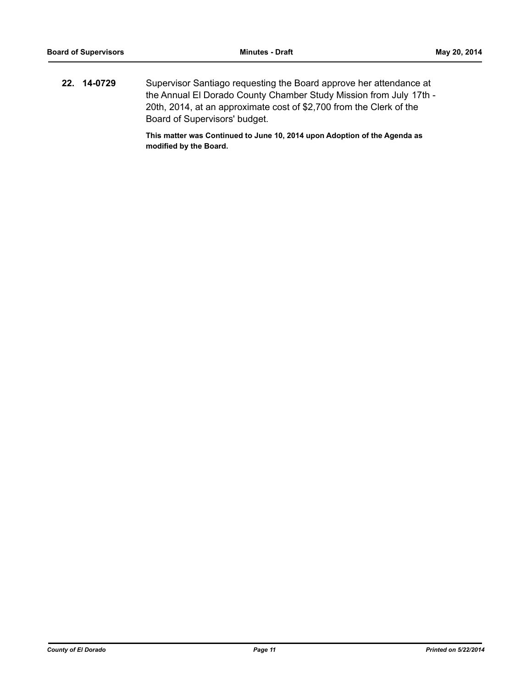**22. 14-0729** Supervisor Santiago requesting the Board approve her attendance at the Annual El Dorado County Chamber Study Mission from July 17th - 20th, 2014, at an approximate cost of \$2,700 from the Clerk of the Board of Supervisors' budget.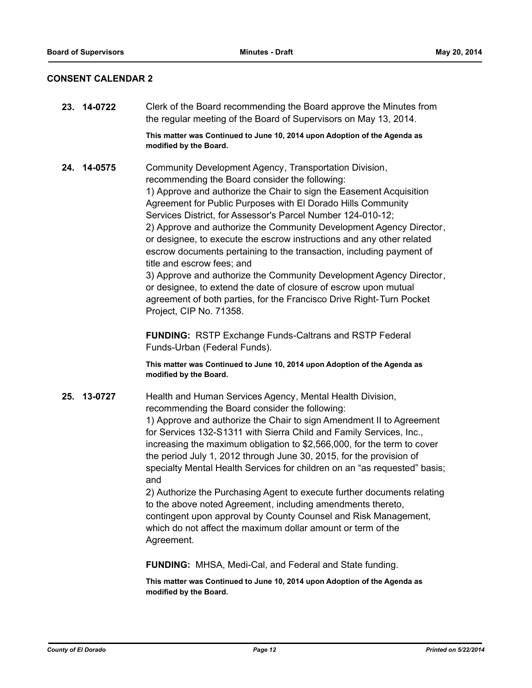### **CONSENT CALENDAR 2**

| 23. 14-0722 | Clerk of the Board recommending the Board approve the Minutes from<br>the regular meeting of the Board of Supervisors on May 13, 2014.                                                                                                                                                                                                                                                                                                                                                                                                                                                                                                                                                                                                                                                                                                                 |
|-------------|--------------------------------------------------------------------------------------------------------------------------------------------------------------------------------------------------------------------------------------------------------------------------------------------------------------------------------------------------------------------------------------------------------------------------------------------------------------------------------------------------------------------------------------------------------------------------------------------------------------------------------------------------------------------------------------------------------------------------------------------------------------------------------------------------------------------------------------------------------|
|             | This matter was Continued to June 10, 2014 upon Adoption of the Agenda as<br>modified by the Board.                                                                                                                                                                                                                                                                                                                                                                                                                                                                                                                                                                                                                                                                                                                                                    |
| 24. 14-0575 | Community Development Agency, Transportation Division,<br>recommending the Board consider the following:<br>1) Approve and authorize the Chair to sign the Easement Acquisition<br>Agreement for Public Purposes with El Dorado Hills Community<br>Services District, for Assessor's Parcel Number 124-010-12;<br>2) Approve and authorize the Community Development Agency Director,<br>or designee, to execute the escrow instructions and any other related<br>escrow documents pertaining to the transaction, including payment of<br>title and escrow fees; and<br>3) Approve and authorize the Community Development Agency Director,<br>or designee, to extend the date of closure of escrow upon mutual<br>agreement of both parties, for the Francisco Drive Right-Turn Pocket<br>Project, CIP No. 71358.                                     |
|             | <b>FUNDING: RSTP Exchange Funds-Caltrans and RSTP Federal</b><br>Funds-Urban (Federal Funds).                                                                                                                                                                                                                                                                                                                                                                                                                                                                                                                                                                                                                                                                                                                                                          |
|             | This matter was Continued to June 10, 2014 upon Adoption of the Agenda as<br>modified by the Board.                                                                                                                                                                                                                                                                                                                                                                                                                                                                                                                                                                                                                                                                                                                                                    |
| 25. 13-0727 | Health and Human Services Agency, Mental Health Division,<br>recommending the Board consider the following:<br>1) Approve and authorize the Chair to sign Amendment II to Agreement<br>for Services 132-S1311 with Sierra Child and Family Services, Inc.,<br>increasing the maximum obligation to \$2,566,000, for the term to cover<br>the period July 1, 2012 through June 30, 2015, for the provision of<br>specialty Mental Health Services for children on an "as requested" basis;<br>and<br>2) Authorize the Purchasing Agent to execute further documents relating<br>to the above noted Agreement, including amendments thereto,<br>contingent upon approval by County Counsel and Risk Management,<br>which do not affect the maximum dollar amount or term of the<br>Agreement.<br>FUNDING: MHSA, Medi-Cal, and Federal and State funding. |
|             |                                                                                                                                                                                                                                                                                                                                                                                                                                                                                                                                                                                                                                                                                                                                                                                                                                                        |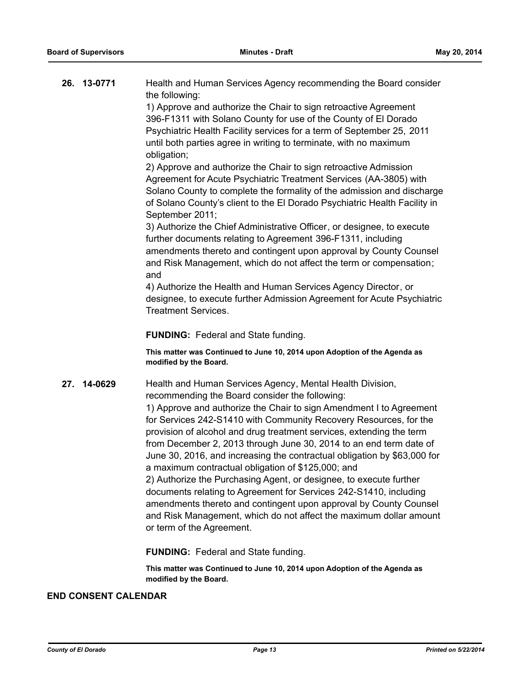|     | 26. 13-0771 | Health and Human Services Agency recommending the Board consider<br>the following:                                                                                                                                                                                                                                                                                                                                                                                                                                                                                                                                                                                                                                                          |
|-----|-------------|---------------------------------------------------------------------------------------------------------------------------------------------------------------------------------------------------------------------------------------------------------------------------------------------------------------------------------------------------------------------------------------------------------------------------------------------------------------------------------------------------------------------------------------------------------------------------------------------------------------------------------------------------------------------------------------------------------------------------------------------|
|     |             | 1) Approve and authorize the Chair to sign retroactive Agreement                                                                                                                                                                                                                                                                                                                                                                                                                                                                                                                                                                                                                                                                            |
|     |             | 396-F1311 with Solano County for use of the County of El Dorado<br>Psychiatric Health Facility services for a term of September 25, 2011                                                                                                                                                                                                                                                                                                                                                                                                                                                                                                                                                                                                    |
|     |             | until both parties agree in writing to terminate, with no maximum                                                                                                                                                                                                                                                                                                                                                                                                                                                                                                                                                                                                                                                                           |
|     |             | obligation;                                                                                                                                                                                                                                                                                                                                                                                                                                                                                                                                                                                                                                                                                                                                 |
|     |             | 2) Approve and authorize the Chair to sign retroactive Admission<br>Agreement for Acute Psychiatric Treatment Services (AA-3805) with<br>Solano County to complete the formality of the admission and discharge<br>of Solano County's client to the El Dorado Psychiatric Health Facility in<br>September 2011;<br>3) Authorize the Chief Administrative Officer, or designee, to execute<br>further documents relating to Agreement 396-F1311, including<br>amendments thereto and contingent upon approval by County Counsel<br>and Risk Management, which do not affect the term or compensation;                                                                                                                                        |
|     |             | and<br>4) Authorize the Health and Human Services Agency Director, or                                                                                                                                                                                                                                                                                                                                                                                                                                                                                                                                                                                                                                                                       |
|     |             | designee, to execute further Admission Agreement for Acute Psychiatric<br><b>Treatment Services.</b>                                                                                                                                                                                                                                                                                                                                                                                                                                                                                                                                                                                                                                        |
|     |             | <b>FUNDING:</b> Federal and State funding.                                                                                                                                                                                                                                                                                                                                                                                                                                                                                                                                                                                                                                                                                                  |
|     |             | This matter was Continued to June 10, 2014 upon Adoption of the Agenda as<br>modified by the Board.                                                                                                                                                                                                                                                                                                                                                                                                                                                                                                                                                                                                                                         |
| 27. | 14-0629     | Health and Human Services Agency, Mental Health Division,<br>recommending the Board consider the following:                                                                                                                                                                                                                                                                                                                                                                                                                                                                                                                                                                                                                                 |
|     |             | 1) Approve and authorize the Chair to sign Amendment I to Agreement<br>for Services 242-S1410 with Community Recovery Resources, for the<br>provision of alcohol and drug treatment services, extending the term<br>from December 2, 2013 through June 30, 2014 to an end term date of<br>June 30, 2016, and increasing the contractual obligation by \$63,000 for<br>a maximum contractual obligation of \$125,000; and<br>2) Authorize the Purchasing Agent, or designee, to execute further<br>documents relating to Agreement for Services 242-S1410, including<br>amendments thereto and contingent upon approval by County Counsel<br>and Risk Management, which do not affect the maximum dollar amount<br>or term of the Agreement. |
|     |             | <b>FUNDING: Federal and State funding.</b>                                                                                                                                                                                                                                                                                                                                                                                                                                                                                                                                                                                                                                                                                                  |
|     |             | This matter was Continued to June 10, 2014 upon Adoption of the Agenda as<br>modified by the Board.                                                                                                                                                                                                                                                                                                                                                                                                                                                                                                                                                                                                                                         |

### **END CONSENT CALENDAR**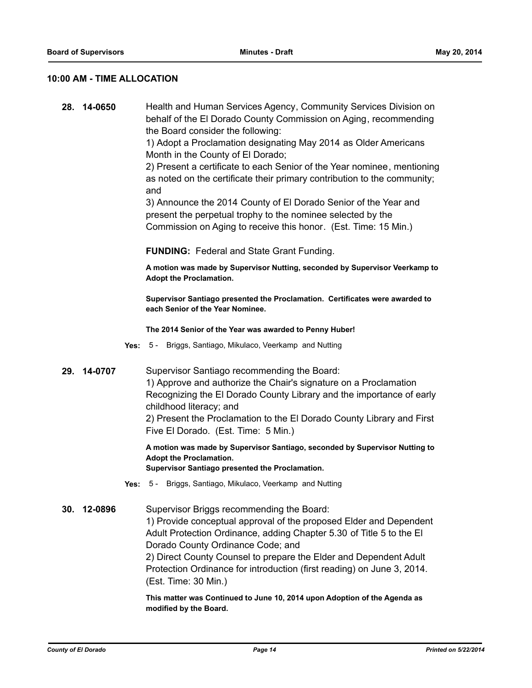#### **10:00 AM - TIME ALLOCATION**

**28. 14-0650** Health and Human Services Agency, Community Services Division on behalf of the El Dorado County Commission on Aging, recommending the Board consider the following:

> 1) Adopt a Proclamation designating May 2014 as Older Americans Month in the County of El Dorado;

2) Present a certificate to each Senior of the Year nominee, mentioning as noted on the certificate their primary contribution to the community; and

3) Announce the 2014 County of El Dorado Senior of the Year and present the perpetual trophy to the nominee selected by the Commission on Aging to receive this honor. (Est. Time: 15 Min.)

**FUNDING:** Federal and State Grant Funding.

**A motion was made by Supervisor Nutting, seconded by Supervisor Veerkamp to Adopt the Proclamation.** 

**Supervisor Santiago presented the Proclamation. Certificates were awarded to each Senior of the Year Nominee.**

**The 2014 Senior of the Year was awarded to Penny Huber!**

- **Yes:** 5 Briggs, Santiago, Mikulaco, Veerkamp and Nutting
- **29. 14-0707** Supervisor Santiago recommending the Board: 1) Approve and authorize the Chair's signature on a Proclamation Recognizing the El Dorado County Library and the importance of early childhood literacy; and

2) Present the Proclamation to the El Dorado County Library and First Five El Dorado. (Est. Time: 5 Min.)

**A motion was made by Supervisor Santiago, seconded by Supervisor Nutting to Adopt the Proclamation.**

**Supervisor Santiago presented the Proclamation.**

- **Yes:** 5 Briggs, Santiago, Mikulaco, Veerkamp and Nutting
- **30. 12-0896** Supervisor Briggs recommending the Board: 1) Provide conceptual approval of the proposed Elder and Dependent Adult Protection Ordinance, adding Chapter 5.30 of Title 5 to the El Dorado County Ordinance Code; and 2) Direct County Counsel to prepare the Elder and Dependent Adult Protection Ordinance for introduction (first reading) on June 3, 2014. (Est. Time: 30 Min.)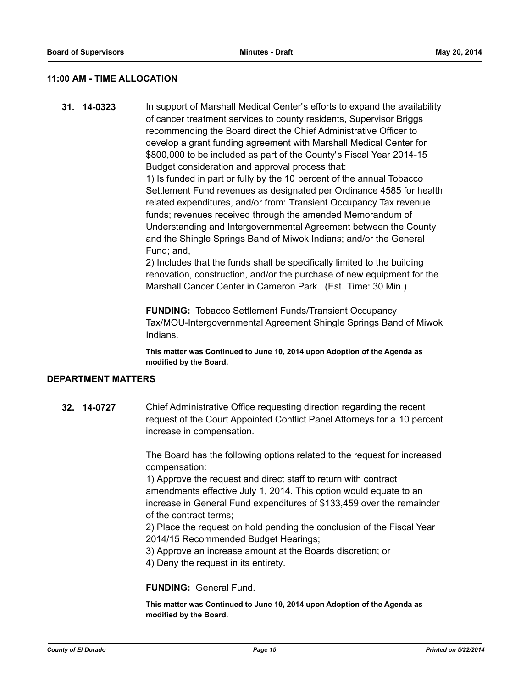#### **11:00 AM - TIME ALLOCATION**

**31. 14-0323** In support of Marshall Medical Center's efforts to expand the availability of cancer treatment services to county residents, Supervisor Briggs recommending the Board direct the Chief Administrative Officer to develop a grant funding agreement with Marshall Medical Center for \$800,000 to be included as part of the County's Fiscal Year 2014-15 Budget consideration and approval process that:

> 1) Is funded in part or fully by the 10 percent of the annual Tobacco Settlement Fund revenues as designated per Ordinance 4585 for health related expenditures, and/or from: Transient Occupancy Tax revenue funds; revenues received through the amended Memorandum of Understanding and Intergovernmental Agreement between the County and the Shingle Springs Band of Miwok Indians; and/or the General Fund; and,

> 2) Includes that the funds shall be specifically limited to the building renovation, construction, and/or the purchase of new equipment for the Marshall Cancer Center in Cameron Park. (Est. Time: 30 Min.)

**FUNDING:** Tobacco Settlement Funds/Transient Occupancy Tax/MOU-Intergovernmental Agreement Shingle Springs Band of Miwok Indians.

**This matter was Continued to June 10, 2014 upon Adoption of the Agenda as modified by the Board.**

#### **DEPARTMENT MATTERS**

**32. 14-0727** Chief Administrative Office requesting direction regarding the recent request of the Court Appointed Conflict Panel Attorneys for a 10 percent increase in compensation.

> The Board has the following options related to the request for increased compensation:

> 1) Approve the request and direct staff to return with contract amendments effective July 1, 2014. This option would equate to an increase in General Fund expenditures of \$133,459 over the remainder of the contract terms;

2) Place the request on hold pending the conclusion of the Fiscal Year 2014/15 Recommended Budget Hearings;

3) Approve an increase amount at the Boards discretion; or

4) Deny the request in its entirety.

#### **FUNDING:** General Fund.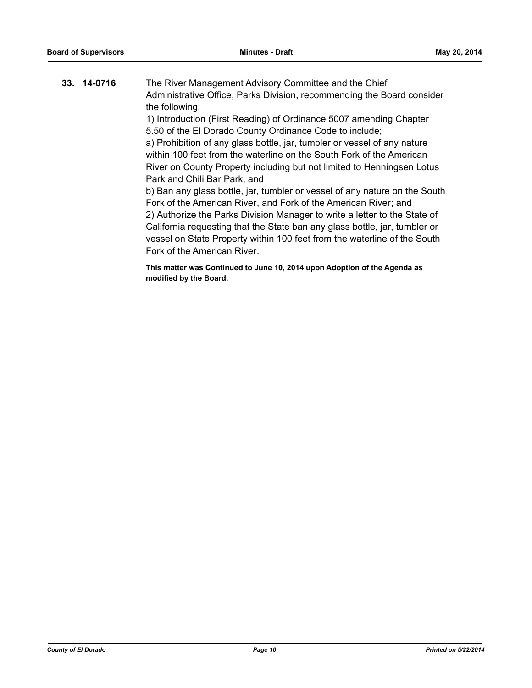| 33. 14-0716 | The River Management Advisory Committee and the Chief<br>Administrative Office, Parks Division, recommending the Board consider<br>the following:<br>1) Introduction (First Reading) of Ordinance 5007 amending Chapter<br>5.50 of the El Dorado County Ordinance Code to include;<br>a) Prohibition of any glass bottle, jar, tumbler or vessel of any nature<br>within 100 feet from the waterline on the South Fork of the American<br>River on County Property including but not limited to Henningsen Lotus<br>Park and Chili Bar Park, and<br>b) Ban any glass bottle, jar, tumbler or vessel of any nature on the South<br>Fork of the American River, and Fork of the American River; and<br>2) Authorize the Parks Division Manager to write a letter to the State of<br>California requesting that the State ban any glass bottle, jar, tumbler or |
|-------------|--------------------------------------------------------------------------------------------------------------------------------------------------------------------------------------------------------------------------------------------------------------------------------------------------------------------------------------------------------------------------------------------------------------------------------------------------------------------------------------------------------------------------------------------------------------------------------------------------------------------------------------------------------------------------------------------------------------------------------------------------------------------------------------------------------------------------------------------------------------|
|             | vessel on State Property within 100 feet from the waterline of the South<br>Fork of the American River.                                                                                                                                                                                                                                                                                                                                                                                                                                                                                                                                                                                                                                                                                                                                                      |
|             | This matter was Continued to June 10, 2014 upon Adoption of the Agenda as                                                                                                                                                                                                                                                                                                                                                                                                                                                                                                                                                                                                                                                                                                                                                                                    |

**modified by the Board.**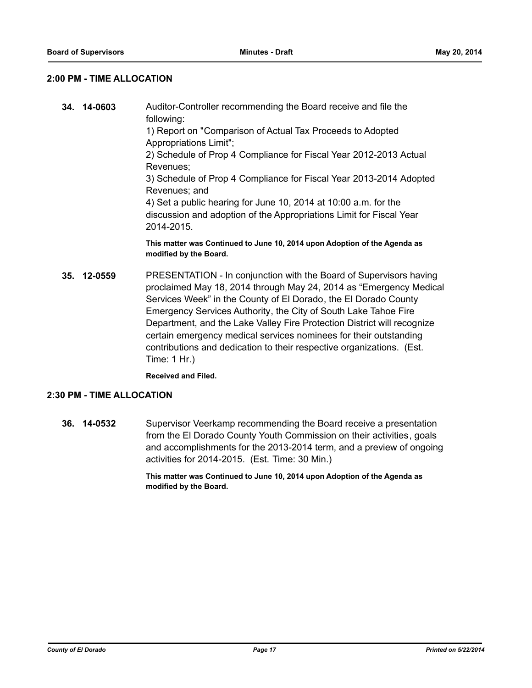#### **2:00 PM - TIME ALLOCATION**

- **34. 14-0603** Auditor-Controller recommending the Board receive and file the following: 1) Report on "Comparison of Actual Tax Proceeds to Adopted Appropriations Limit"; 2) Schedule of Prop 4 Compliance for Fiscal Year 2012-2013 Actual Revenues; 3) Schedule of Prop 4 Compliance for Fiscal Year 2013-2014 Adopted Revenues; and 4) Set a public hearing for June 10, 2014 at 10:00 a.m. for the discussion and adoption of the Appropriations Limit for Fiscal Year 2014-2015. **This matter was Continued to June 10, 2014 upon Adoption of the Agenda as modified by the Board.**
- **35. 12-0559** PRESENTATION In conjunction with the Board of Supervisors having proclaimed May 18, 2014 through May 24, 2014 as "Emergency Medical Services Week" in the County of El Dorado, the El Dorado County Emergency Services Authority, the City of South Lake Tahoe Fire Department, and the Lake Valley Fire Protection District will recognize certain emergency medical services nominees for their outstanding contributions and dedication to their respective organizations. (Est. Time: 1 Hr.)

**Received and Filed.**

#### **2:30 PM - TIME ALLOCATION**

**36. 14-0532** Supervisor Veerkamp recommending the Board receive a presentation from the El Dorado County Youth Commission on their activities, goals and accomplishments for the 2013-2014 term, and a preview of ongoing activities for 2014-2015. (Est. Time: 30 Min.)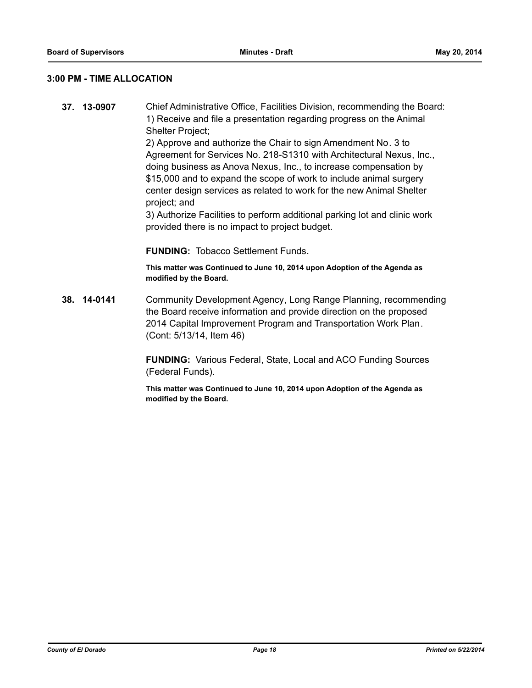#### **3:00 PM - TIME ALLOCATION**

**37. 13-0907** Chief Administrative Office, Facilities Division, recommending the Board: 1) Receive and file a presentation regarding progress on the Animal Shelter Project;

2) Approve and authorize the Chair to sign Amendment No. 3 to Agreement for Services No. 218-S1310 with Architectural Nexus, Inc., doing business as Anova Nexus, Inc., to increase compensation by \$15,000 and to expand the scope of work to include animal surgery center design services as related to work for the new Animal Shelter project; and

3) Authorize Facilities to perform additional parking lot and clinic work provided there is no impact to project budget.

**FUNDING:** Tobacco Settlement Funds.

**This matter was Continued to June 10, 2014 upon Adoption of the Agenda as modified by the Board.**

**38. 14-0141** Community Development Agency, Long Range Planning, recommending the Board receive information and provide direction on the proposed 2014 Capital Improvement Program and Transportation Work Plan. (Cont: 5/13/14, Item 46)

> **FUNDING:** Various Federal, State, Local and ACO Funding Sources (Federal Funds).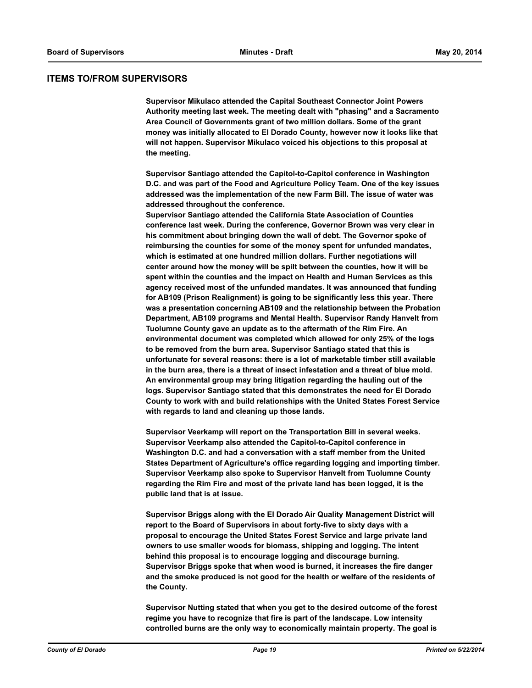#### **ITEMS TO/FROM SUPERVISORS**

**Supervisor Mikulaco attended the Capital Southeast Connector Joint Powers Authority meeting last week. The meeting dealt with "phasing" and a Sacramento Area Council of Governments grant of two million dollars. Some of the grant money was initially allocated to El Dorado County, however now it looks like that will not happen. Supervisor Mikulaco voiced his objections to this proposal at the meeting.**

**Supervisor Santiago attended the Capitol-to-Capitol conference in Washington D.C. and was part of the Food and Agriculture Policy Team. One of the key issues addressed was the implementation of the new Farm Bill. The issue of water was addressed throughout the conference.** 

**Supervisor Santiago attended the California State Association of Counties conference last week. During the conference, Governor Brown was very clear in his commitment about bringing down the wall of debt. The Governor spoke of reimbursing the counties for some of the money spent for unfunded mandates, which is estimated at one hundred million dollars. Further negotiations will center around how the money will be spilt between the counties, how it will be spent within the counties and the impact on Health and Human Services as this agency received most of the unfunded mandates. It was announced that funding for AB109 (Prison Realignment) is going to be significantly less this year. There was a presentation concerning AB109 and the relationship between the Probation Department, AB109 programs and Mental Health. Supervisor Randy Hanvelt from Tuolumne County gave an update as to the aftermath of the Rim Fire. An environmental document was completed which allowed for only 25% of the logs to be removed from the burn area. Supervisor Santiago stated that this is unfortunate for several reasons: there is a lot of marketable timber still available in the burn area, there is a threat of insect infestation and a threat of blue mold. An environmental group may bring litigation regarding the hauling out of the logs. Supervisor Santiago stated that this demonstrates the need for El Dorado County to work with and build relationships with the United States Forest Service with regards to land and cleaning up those lands.**

**Supervisor Veerkamp will report on the Transportation Bill in several weeks. Supervisor Veerkamp also attended the Capitol-to-Capitol conference in Washington D.C. and had a conversation with a staff member from the United States Department of Agriculture's office regarding logging and importing timber. Supervisor Veerkamp also spoke to Supervisor Hanvelt from Tuolumne County regarding the Rim Fire and most of the private land has been logged, it is the public land that is at issue.** 

**Supervisor Briggs along with the El Dorado Air Quality Management District will report to the Board of Supervisors in about forty-five to sixty days with a proposal to encourage the United States Forest Service and large private land owners to use smaller woods for biomass, shipping and logging. The intent behind this proposal is to encourage logging and discourage burning. Supervisor Briggs spoke that when wood is burned, it increases the fire danger and the smoke produced is not good for the health or welfare of the residents of the County.** 

**Supervisor Nutting stated that when you get to the desired outcome of the forest regime you have to recognize that fire is part of the landscape. Low intensity controlled burns are the only way to economically maintain property. The goal is**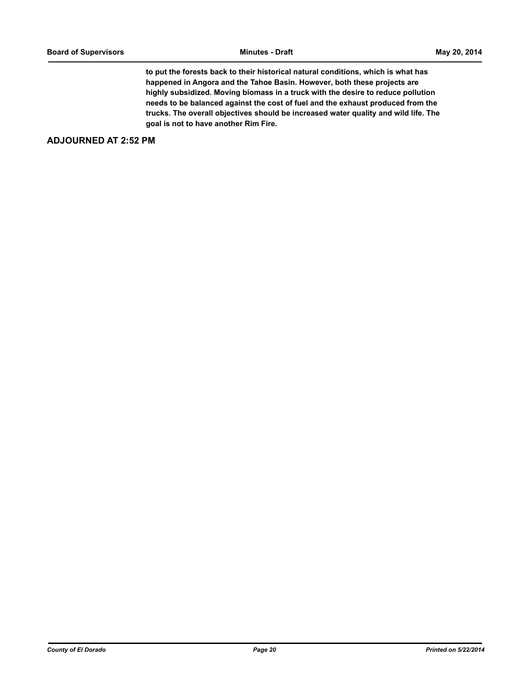**to put the forests back to their historical natural conditions, which is what has happened in Angora and the Tahoe Basin. However, both these projects are highly subsidized. Moving biomass in a truck with the desire to reduce pollution needs to be balanced against the cost of fuel and the exhaust produced from the trucks. The overall objectives should be increased water quality and wild life. The goal is not to have another Rim Fire.**

#### **ADJOURNED AT 2:52 PM**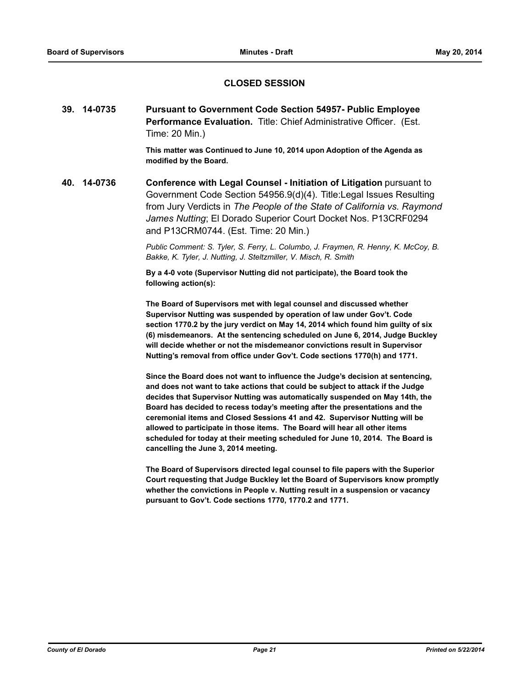#### **CLOSED SESSION**

**39. 14-0735 Pursuant to Government Code Section 54957- Public Employee Performance Evaluation.** Title: Chief Administrative Officer. (Est. Time: 20 Min.)

> **This matter was Continued to June 10, 2014 upon Adoption of the Agenda as modified by the Board.**

**40. 14-0736 Conference with Legal Counsel - Initiation of Litigation** pursuant to Government Code Section 54956.9(d)(4). Title:Legal Issues Resulting from Jury Verdicts in *The People of the State of California vs. Raymond James Nutting*; El Dorado Superior Court Docket Nos. P13CRF0294 and P13CRM0744. (Est. Time: 20 Min.)

> *Public Comment: S. Tyler, S. Ferry, L. Columbo, J. Fraymen, R. Henny, K. McCoy, B. Bakke, K. Tyler, J. Nutting, J. Steltzmiller, V. Misch, R. Smith*

**By a 4-0 vote (Supervisor Nutting did not participate), the Board took the following action(s):**

**The Board of Supervisors met with legal counsel and discussed whether Supervisor Nutting was suspended by operation of law under Gov't. Code section 1770.2 by the jury verdict on May 14, 2014 which found him guilty of six (6) misdemeanors. At the sentencing scheduled on June 6, 2014, Judge Buckley will decide whether or not the misdemeanor convictions result in Supervisor Nutting's removal from office under Gov't. Code sections 1770(h) and 1771.**

**Since the Board does not want to influence the Judge's decision at sentencing, and does not want to take actions that could be subject to attack if the Judge decides that Supervisor Nutting was automatically suspended on May 14th, the Board has decided to recess today's meeting after the presentations and the ceremonial items and Closed Sessions 41 and 42. Supervisor Nutting will be allowed to participate in those items. The Board will hear all other items scheduled for today at their meeting scheduled for June 10, 2014. The Board is cancelling the June 3, 2014 meeting.**

**The Board of Supervisors directed legal counsel to file papers with the Superior Court requesting that Judge Buckley let the Board of Supervisors know promptly whether the convictions in People v. Nutting result in a suspension or vacancy pursuant to Gov't. Code sections 1770, 1770.2 and 1771.**